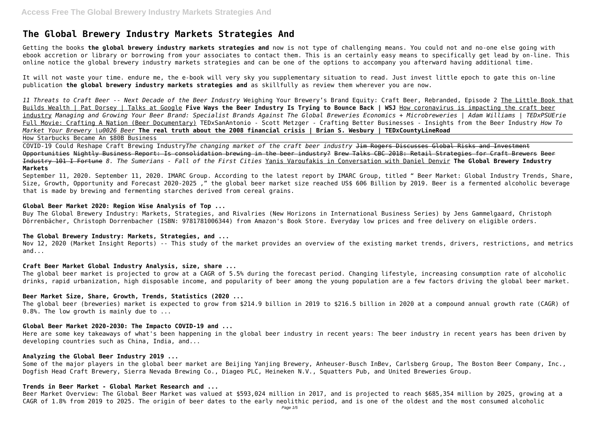# **The Global Brewery Industry Markets Strategies And**

Getting the books **the global brewery industry markets strategies and** now is not type of challenging means. You could not and no-one else going with ebook accretion or library or borrowing from your associates to contact them. This is an certainly easy means to specifically get lead by on-line. This online notice the global brewery industry markets strategies and can be one of the options to accompany you afterward having additional time.

It will not waste your time. endure me, the e-book will very sky you supplementary situation to read. Just invest little epoch to gate this on-line publication **the global brewery industry markets strategies and** as skillfully as review them wherever you are now.

*11 Threats to Craft Beer -- Next Decade of the Beer Industry* Weighing Your Brewery's Brand Equity: Craft Beer, Rebranded, Episode 2 The Little Book that Builds Wealth | Pat Dorsey | Talks at Google **Five Ways the Beer Industry Is Trying to Bounce Back | WSJ** How coronavirus is impacting the craft beer industry *Managing and Growing Your Beer Brand: Specialist Brands Against The Global Breweries Economics + Microbreweries | Adam Williams | TEDxPSUErie* Full Movie: Crafting A Nation (Beer Documentary) TEDxSanAntonio - Scott Metzger - Crafting Better Businesses - Insights from the Beer Industry *How To Market Your Brewery \u0026 Beer* **The real truth about the 2008 financial crisis | Brian S. Wesbury | TEDxCountyLineRoad** How Starbucks Became An \$80B Business

COVID-19 Could Reshape Craft Brewing Industry*The changing market of the craft beer industry* Jim Rogers Discusses Global Risks and Investment Opportunities Nightly Business Report: Is consolidation brewing in the beer industry? Brew Talks CBC 2018: Retail Strategies for Craft Brewers Beer Industry 101 I Fortune *8. The Sumerians - Fall of the First Cities* Yanis Varoufakis in Conversation with Daniel Denvir **The Global Brewery Industry Markets**

September 11, 2020. September 11, 2020. IMARC Group. According to the latest report by IMARC Group, titled " Beer Market: Global Industry Trends, Share, Size, Growth, Opportunity and Forecast 2020-2025 ," the global beer market size reached US\$ 606 Billion by 2019. Beer is a fermented alcoholic beverage that is made by brewing and fermenting starches derived from cereal grains.

# **Global Beer Market 2020: Region Wise Analysis of Top ...**

Buy The Global Brewery Industry: Markets, Strategies, and Rivalries (New Horizons in International Business Series) by Jens Gammelgaard, Christoph Dörrenbächer, Christoph Dorrenbacher (ISBN: 9781781006344) from Amazon's Book Store. Everyday low prices and free delivery on eligible orders.

#### **The Global Brewery Industry: Markets, Strategies, and ...**

Nov 12, 2020 (Market Insight Reports) -- This study of the market provides an overview of the existing market trends, drivers, restrictions, and metrics and...

#### **Craft Beer Market Global Industry Analysis, size, share ...**

The global beer market is projected to grow at a CAGR of 5.5% during the forecast period. Changing lifestyle, increasing consumption rate of alcoholic drinks, rapid urbanization, high disposable income, and popularity of beer among the young population are a few factors driving the global beer market.

#### **Beer Market Size, Share, Growth, Trends, Statistics (2020 ...**

The global beer (breweries) market is expected to grow from \$214.9 billion in 2019 to \$216.5 billion in 2020 at a compound annual growth rate (CAGR) of 0.8%. The low growth is mainly due to ...

#### **Global Beer Market 2020-2030: The Impacto COVID-19 and ...**

Here are some key takeaways of what's been happening in the global beer industry in recent years: The beer industry in recent years has been driven by developing countries such as China, India, and...

### **Analyzing the Global Beer Industry 2019 ...**

Some of the major players in the global beer market are Beijing Yanjing Brewery, Anheuser-Busch InBev, Carlsberg Group, The Boston Beer Company, Inc., Dogfish Head Craft Brewery, Sierra Nevada Brewing Co., Diageo PLC, Heineken N.V., Squatters Pub, and United Breweries Group.

# **Trends in Beer Market - Global Market Research and ...**

Beer Market Overview: The Global Beer Market was valued at \$593,024 million in 2017, and is projected to reach \$685,354 million by 2025, growing at a CAGR of 1.8% from 2019 to 2025. The origin of beer dates to the early neolithic period, and is one of the oldest and the most consumed alcoholic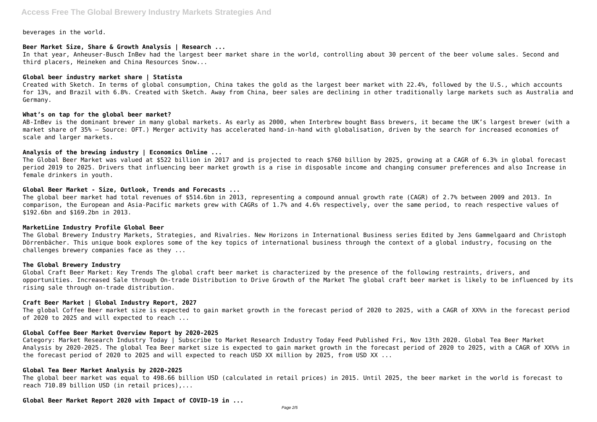beverages in the world.

# **Beer Market Size, Share & Growth Analysis | Research ...**

In that year, Anheuser-Busch InBev had the largest beer market share in the world, controlling about 30 percent of the beer volume sales. Second and third placers, Heineken and China Resources Snow...

#### **Global beer industry market share | Statista**

Created with Sketch. In terms of global consumption, China takes the gold as the largest beer market with 22.4%, followed by the U.S., which accounts for 13%, and Brazil with 6.8%. Created with Sketch. Away from China, beer sales are declining in other traditionally large markets such as Australia and Germany.

#### **What's on tap for the global beer market?**

AB-InBev is the dominant brewer in many global markets. As early as 2000, when Interbrew bought Bass brewers, it became the UK's largest brewer (with a market share of 35% – Source: OFT.) Merger activity has accelerated hand-in-hand with globalisation, driven by the search for increased economies of scale and larger markets.

#### **Analysis of the brewing industry | Economics Online ...**

The Global Beer Market was valued at \$522 billion in 2017 and is projected to reach \$760 billion by 2025, growing at a CAGR of 6.3% in global forecast period 2019 to 2025. Drivers that influencing beer market growth is a rise in disposable income and changing consumer preferences and also Increase in female drinkers in youth.

The global Coffee Beer market size is expected to gain market growth in the forecast period of 2020 to 2025, with a CAGR of XX%% in the forecast period of 2020 to 2025 and will expected to reach ...

#### **Global Beer Market - Size, Outlook, Trends and Forecasts ...**

The global beer market had total revenues of \$514.6bn in 2013, representing a compound annual growth rate (CAGR) of 2.7% between 2009 and 2013. In comparison, the European and Asia-Pacific markets grew with CAGRs of 1.7% and 4.6% respectively, over the same period, to reach respective values of \$192.6bn and \$169.2bn in 2013.

# **MarketLine Industry Profile Global Beer**

The Global Brewery Industry Markets, Strategies, and Rivalries. New Horizons in International Business series Edited by Jens Gammelgaard and Christoph Dörrenbächer. This unique book explores some of the key topics of international business through the context of a global industry, focusing on the challenges brewery companies face as they ...

#### **The Global Brewery Industry**

Global Craft Beer Market: Key Trends The global craft beer market is characterized by the presence of the following restraints, drivers, and opportunities. Increased Sale through On-trade Distribution to Drive Growth of the Market The global craft beer market is likely to be influenced by its rising sale through on-trade distribution.

#### **Craft Beer Market | Global Industry Report, 2027**

# **Global Coffee Beer Market Overview Report by 2020-2025**

Category: Market Research Industry Today | Subscribe to Market Research Industry Today Feed Published Fri, Nov 13th 2020. Global Tea Beer Market Analysis by 2020-2025. The global Tea Beer market size is expected to gain market growth in the forecast period of 2020 to 2025, with a CAGR of XX%% in the forecast period of 2020 to 2025 and will expected to reach USD XX million by 2025, from USD XX ...

# **Global Tea Beer Market Analysis by 2020-2025**

The global beer market was equal to 498.66 billion USD (calculated in retail prices) in 2015. Until 2025, the beer market in the world is forecast to reach 710.89 billion USD (in retail prices),...

**Global Beer Market Report 2020 with Impact of COVID-19 in ...**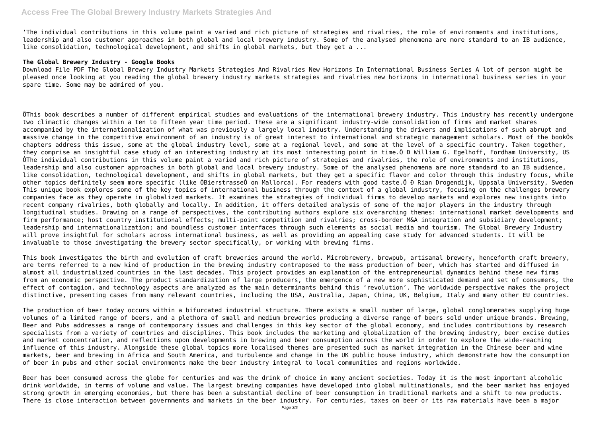'The individual contributions in this volume paint a varied and rich picture of strategies and rivalries, the role of environments and institutions, leadership and also customer approaches in both global and local brewery industry. Some of the analysed phenomena are more standard to an IB audience, like consolidation, technological development, and shifts in global markets, but they get a ...

# **The Global Brewery Industry - Google Books**

Download File PDF The Global Brewery Industry Markets Strategies And Rivalries New Horizons In International Business Series A lot of person might be pleased once looking at you reading the global brewery industry markets strategies and rivalries new horizons in international business series in your spare time. Some may be admired of you.

ÔThis book describes a number of different empirical studies and evaluations of the international brewery industry. This industry has recently undergone two climactic changes within a ten to fifteen year time period. These are a significant industry-wide consolidation of firms and market shares accompanied by the internationalization of what was previously a largely local industry. Understanding the drivers and implications of such abrupt and massive change in the competitive environment of an industry is of great interest to international and strategic management scholars. Most of the bookÕs chapters address this issue, some at the global industry level, some at a regional level, and some at the level of a specific country. Taken together, they comprise an insightful case study of an interesting industry at its most interesting point in time.Õ Ð William G. Egelhoff, Fordham University, US ÔThe individual contributions in this volume paint a varied and rich picture of strategies and rivalries, the role of environments and institutions, leadership and also customer approaches in both global and local brewery industry. Some of the analysed phenomena are more standard to an IB audience, like consolidation, technological development, and shifts in global markets, but they get a specific flavor and color through this industry focus, while other topics definitely seem more specific (like ÒBierstrasseÓ on Mallorca). For readers with good taste.Õ Đ Rian Drogendijk, Uppsala University, Sweden This unique book explores some of the key topics of international business through the context of a global industry, focusing on the challenges brewery companies face as they operate in globalized markets. It examines the strategies of individual firms to develop markets and explores new insights into recent company rivalries, both globally and locally. In addition, it offers detailed analysis of some of the major players in the industry through longitudinal studies. Drawing on a range of perspectives, the contributing authors explore six overarching themes: international market developments and firm performance; host country institutional effects; multi-point competition and rivalries; cross-border M&A integration and subsidiary development; leadership and internationalization; and boundless customer interfaces through such elements as social media and tourism. The Global Brewery Industry will prove insightful for scholars across international business, as well as providing an appealing case study for advanced students. It will be invaluable to those investigating the brewery sector specifically, or working with brewing firms.

This book investigates the birth and evolution of craft breweries around the world. Microbrewery, brewpub, artisanal brewery, henceforth craft brewery, are terms referred to a new kind of production in the brewing industry contraposed to the mass production of beer, which has started and diffused in almost all industrialized countries in the last decades. This project provides an explanation of the entrepreneurial dynamics behind these new firms from an economic perspective. The product standardization of large producers, the emergence of a new more sophisticated demand and set of consumers, the effect of contagion, and technology aspects are analyzed as the main determinants behind this 'revolution'. The worldwide perspective makes the project distinctive, presenting cases from many relevant countries, including the USA, Australia, Japan, China, UK, Belgium, Italy and many other EU countries.

The production of beer today occurs within a bifurcated industrial structure. There exists a small number of large, global conglomerates supplying huge volumes of a limited range of beers, and a plethora of small and medium breweries producing a diverse range of beers sold under unique brands. Brewing, Beer and Pubs addresses a range of contemporary issues and challenges in this key sector of the global economy, and includes contributions by research specialists from a variety of countries and disciplines. This book includes the marketing and globalization of the brewing industry, beer excise duties and market concentration, and reflections upon developments in brewing and beer consumption across the world in order to explore the wide-reaching influence of this industry. Alongside these global topics more localised themes are presented such as market integration in the Chinese beer and wine markets, beer and brewing in Africa and South America, and turbulence and change in the UK public house industry, which demonstrate how the consumption of beer in pubs and other social environments make the beer industry integral to local communities and regions worldwide.

Beer has been consumed across the globe for centuries and was the drink of choice in many ancient societies. Today it is the most important alcoholic drink worldwide, in terms of volume and value. The largest brewing companies have developed into global multinationals, and the beer market has enjoyed strong growth in emerging economies, but there has been a substantial decline of beer consumption in traditional markets and a shift to new products. There is close interaction between governments and markets in the beer industry. For centuries, taxes on beer or its raw materials have been a major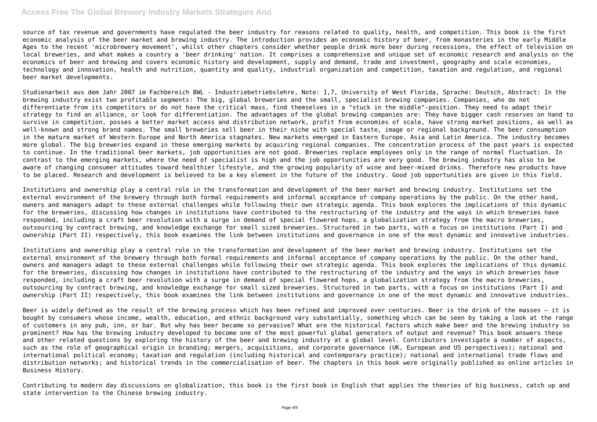# **Access Free The Global Brewery Industry Markets Strategies And**

source of tax revenue and governments have regulated the beer industry for reasons related to quality, health, and competition. This book is the first economic analysis of the beer market and brewing industry. The introduction provides an economic history of beer, from monasteries in the early Middle Ages to the recent 'microbrewery movement', whilst other chapters consider whether people drink more beer during recessions, the effect of television on local breweries, and what makes a country a 'beer drinking' nation. It comprises a comprehensive and unique set of economic research and analysis on the economics of beer and brewing and covers economic history and development, supply and demand, trade and investment, geography and scale economies, technology and innovation, health and nutrition, quantity and quality, industrial organization and competition, taxation and regulation, and regional beer market developments.

Studienarbeit aus dem Jahr 2007 im Fachbereich BWL - Industriebetriebslehre, Note: 1,7, University of West Florida, Sprache: Deutsch, Abstract: In the brewing industry exist two profitable segments: The big, global breweries and the small, specialist brewing companies. Companies, who do not differentiate from its competitors or do not have the critical mass, find themselves in a "stuck in the middle"-position. They need to adapt their strategy to find an alliance, or look for differentiation. The advantages of the global brewing companies are: They have bigger cash reserves on hand to survive in competition, posses a better market access and distribution network, profit from economies of scale, have strong market positions, as well as well-known and strong brand names. The small breweries sell beer in their niche with special taste, image or regional background. The beer consumption in the mature market of Western Europe and North America stagnates. New markets emerged in Eastern Europe, Asia and Latin America. The industry becomes more global. The big breweries expand in these emerging markets by acquiring regional companies. The concentration process of the past years is expected to continue. In the traditional beer markets, job opportunities are not good. Breweries replace employees only in the range of normal fluctuation. In contrast to the emerging markets, where the need of specialist is high and the job opportunities are very good. The brewing industry has also to be aware of changing consumer attitudes toward healthier lifestyle, and the growing popularity of wine and beer-mixed drinks. Therefore new products have to be placed. Research and development is believed to be a key element in the future of the industry. Good job opportunities are given in this field.

Institutions and ownership play a central role in the transformation and development of the beer market and brewing industry. Institutions set the external environment of the brewery through both formal requirements and informal acceptance of company operations by the public. On the other hand, owners and managers adapt to these external challenges while following their own strategic agenda. This book explores the implications of this dynamic for the breweries, discussing how changes in institutions have contributed to the restructuring of the industry and the ways in which breweries have responded, including a craft beer revolution with a surge in demand of special flowered hops, a globalization strategy from the macro breweries, outsourcing by contract brewing, and knowledge exchange for small sized breweries. Structured in two parts, with a focus on institutions (Part I) and ownership (Part II) respectively, this book examines the link between institutions and governance in one of the most dynamic and innovative industries.

Institutions and ownership play a central role in the transformation and development of the beer market and brewing industry. Institutions set the external environment of the brewery through both formal requirements and informal acceptance of company operations by the public. On the other hand, owners and managers adapt to these external challenges while following their own strategic agenda. This book explores the implications of this dynamic for the breweries, discussing how changes in institutions have contributed to the restructuring of the industry and the ways in which breweries have responded, including a craft beer revolution with a surge in demand of special flowered hops, a globalization strategy from the macro breweries, outsourcing by contract brewing, and knowledge exchange for small sized breweries. Structured in two parts, with a focus on institutions (Part I) and ownership (Part II) respectively, this book examines the link between institutions and governance in one of the most dynamic and innovative industries.

Beer is widely defined as the result of the brewing process which has been refined and improved over centuries. Beer is the drink of the masses – it is bought by consumers whose income, wealth, education, and ethnic background vary substantially, something which can be seen by taking a look at the range of customers in any pub, inn, or bar. But why has beer became so pervasive? What are the historical factors which make beer and the brewing industry so prominent? How has the brewing industry developed to become one of the most powerful global generators of output and revenue? This book answers these and other related questions by exploring the history of the beer and brewing industry at a global level. Contributors investigate a number of aspects, such as the role of geographical origin in branding; mergers, acquisitions, and corporate governance (UK, European and US perspectives); national and international political economy; taxation and regulation (including historical and contemporary practice); national and international trade flows and distribution networks; and historical trends in the commercialisation of beer. The chapters in this book were originally published as online articles in Business History.

Contributing to modern day discussions on globalization, this book is the first book in English that applies the theories of big business, catch up and state intervention to the Chinese brewing industry.